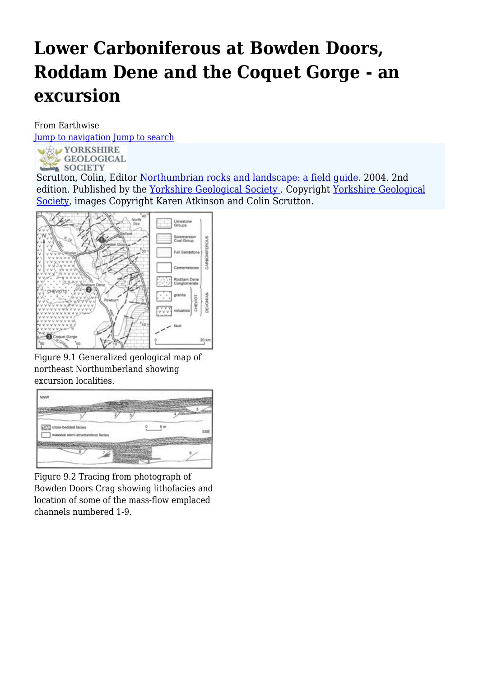# **Lower Carboniferous at Bowden Doors, Roddam Dene and the Coquet Gorge - an excursion**

From Earthwise

[Jump to navigation](#page--1-0) [Jump to search](#page--1-0)



Scrutton, Colin, Editor [Northumbrian rocks and landscape: a field guide](http://earthwise.bgs.ac.uk/index.php/Northumbrian_rocks_and_landscape:_a_field_guide). 2004. 2nd edition. Published by the [Yorkshire Geological Society .](http://earthwise.bgs.ac.uk/index.php/Category:Yorkshire_Geological_Society) Copyright [Yorkshire Geological](https://www.yorksgeolsoc.org.uk) [Society,](https://www.yorksgeolsoc.org.uk) images Copyright Karen Atkinson and Colin Scrutton.



Figure 9.1 Generalized geological map of northeast Northumberland showing excursion localities.



Figure 9.2 Tracing from photograph of Bowden Doors Crag showing lithofacies and location of some of the mass-flow emplaced channels numbered 1-9.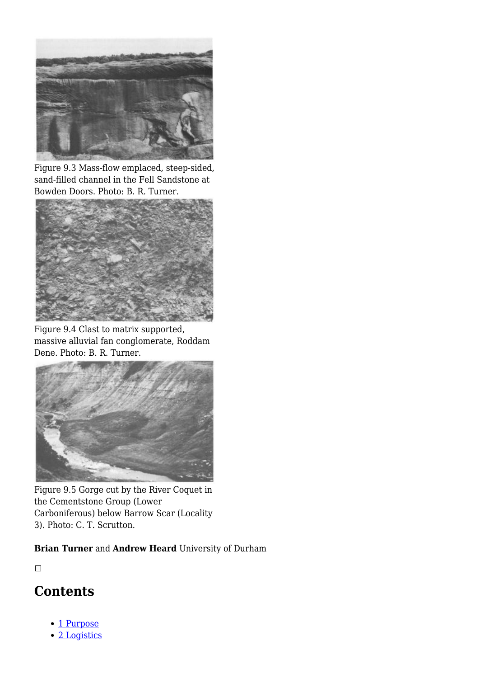

Figure 9.3 Mass-flow emplaced, steep-sided, sand-filled channel in the Fell Sandstone at Bowden Doors. Photo: B. R. Turner.



Figure 9.4 Clast to matrix supported, massive alluvial fan conglomerate, Roddam Dene. Photo: B. R. Turner.



Figure 9.5 Gorge cut by the River Coquet in the Cementstone Group (Lower Carboniferous) below Barrow Scar (Locality 3). Photo: C. T. Scrutton.

**Brian Turner** and **Andrew Heard** University of Durham

 $\Box$ 

### **Contents**

- [1](#page--1-0) [Purpose](#page--1-0)
- [2](#page--1-0) [Logistics](#page--1-0)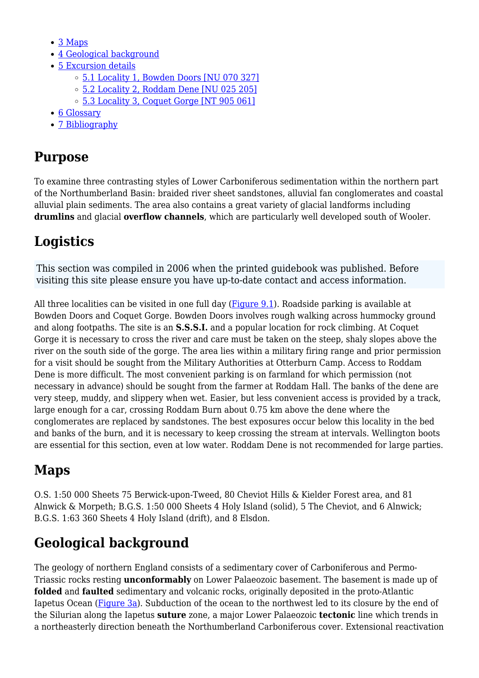- [3](#page--1-0) [Maps](#page--1-0)
- [4](#page--1-0) [Geological background](#page--1-0)
- [5](#page--1-0) [Excursion details](#page--1-0)
	- [5.1](#Locality_1.2C_Bowden_Doors_.5BNU_070_327.5D) [Locality 1, Bowden Doors \[NU 070 327\]](#Locality_1.2C_Bowden_Doors_.5BNU_070_327.5D)
	- [5.2](#Locality_2.2C_Roddam_Dene_.5BNU_025_205.5D) [Locality 2, Roddam Dene \[NU 025 205\]](#Locality_2.2C_Roddam_Dene_.5BNU_025_205.5D)
	- o [5.3](#Locality_3.2C_Coquet_Gorge_.5BNT_905_061.5D) [Locality 3, Coquet Gorge \[NT 905 061\]](#Locality_3.2C_Coquet_Gorge_.5BNT_905_061.5D)
- [6](#page--1-0) [Glossary](#page--1-0)
- [7](#page--1-0) [Bibliography](#page--1-0)

### **Purpose**

To examine three contrasting styles of Lower Carboniferous sedimentation within the northern part of the Northumberland Basin: braided river sheet sandstones, alluvial fan conglomerates and coastal alluvial plain sediments. The area also contains a great variety of glacial landforms including **drumlins** and glacial **overflow channels**, which are particularly well developed south of Wooler.

# **Logistics**

This section was compiled in 2006 when the printed guidebook was published. Before visiting this site please ensure you have up-to-date contact and access information.

All three localities can be visited in one full day [\(Figure 9.1](http://earthwise.bgs.ac.uk/index.php/File:YGS_NORTROCK_FIG_09_1.jpg)). Roadside parking is available at Bowden Doors and Coquet Gorge. Bowden Doors involves rough walking across hummocky ground and along footpaths. The site is an **S.S.S.I.** and a popular location for rock climbing. At Coquet Gorge it is necessary to cross the river and care must be taken on the steep, shaly slopes above the river on the south side of the gorge. The area lies within a military firing range and prior permission for a visit should be sought from the Military Authorities at Otterburn Camp. Access to Roddam Dene is more difficult. The most convenient parking is on farmland for which permission (not necessary in advance) should be sought from the farmer at Roddam Hall. The banks of the dene are very steep, muddy, and slippery when wet. Easier, but less convenient access is provided by a track, large enough for a car, crossing Roddam Burn about 0.75 km above the dene where the conglomerates are replaced by sandstones. The best exposures occur below this locality in the bed and banks of the burn, and it is necessary to keep crossing the stream at intervals. Wellington boots are essential for this section, even at low water. Roddam Dene is not recommended for large parties.

## **Maps**

O.S. 1:50 000 Sheets 75 Berwick-upon-Tweed, 80 Cheviot Hills & Kielder Forest area, and 81 Alnwick & Morpeth; B.G.S. 1:50 000 Sheets 4 Holy Island (solid), 5 The Cheviot, and 6 Alnwick; B.G.S. 1:63 360 Sheets 4 Holy Island (drift), and 8 Elsdon.

## **Geological background**

The geology of northern England consists of a sedimentary cover of Carboniferous and Permo-Triassic rocks resting **unconformably** on Lower Palaeozoic basement. The basement is made up of **folded** and **faulted** sedimentary and volcanic rocks, originally deposited in the proto-Atlantic Iapetus Ocean ([Figure 3a\)](http://earthwise.bgs.ac.uk/index.php/File:YGS_NORTROCK_FIG_00_3.jpg). Subduction of the ocean to the northwest led to its closure by the end of the Silurian along the Iapetus **suture** zone, a major Lower Palaeozoic **tectonic** line which trends in a northeasterly direction beneath the Northumberland Carboniferous cover. Extensional reactivation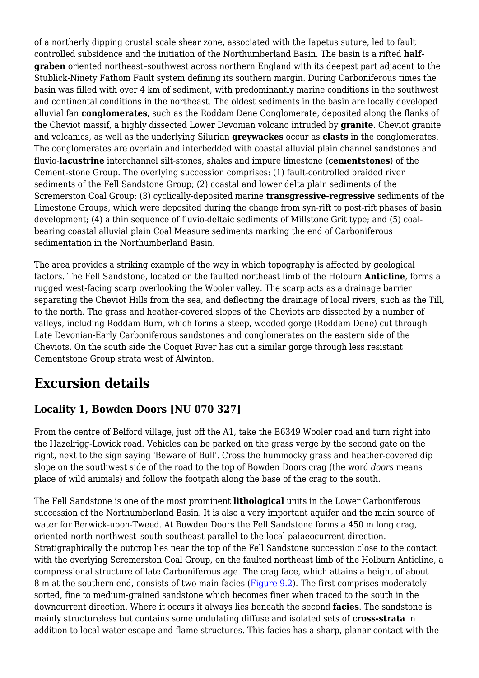of a northerly dipping crustal scale shear zone, associated with the Iapetus suture, led to fault controlled subsidence and the initiation of the Northumberland Basin. The basin is a rifted **halfgraben** oriented northeast–southwest across northern England with its deepest part adjacent to the Stublick-Ninety Fathom Fault system defining its southern margin. During Carboniferous times the basin was filled with over 4 km of sediment, with predominantly marine conditions in the southwest and continental conditions in the northeast. The oldest sediments in the basin are locally developed alluvial fan **conglomerates**, such as the Roddam Dene Conglomerate, deposited along the flanks of the Cheviot massif, a highly dissected Lower Devonian volcano intruded by **granite**. Cheviot granite and volcanics, as well as the underlying Silurian **greywackes** occur as **clasts** in the conglomerates. The conglomerates are overlain and interbedded with coastal alluvial plain channel sandstones and fluvio-**lacustrine** interchannel silt-stones, shales and impure limestone (**cementstones**) of the Cement-stone Group. The overlying succession comprises: (1) fault-controlled braided river sediments of the Fell Sandstone Group; (2) coastal and lower delta plain sediments of the Scremerston Coal Group; (3) cyclically-deposited marine **transgressive-regressive** sediments of the Limestone Groups, which were deposited during the change from syn-rift to post-rift phases of basin development; (4) a thin sequence of fluvio-deltaic sediments of Millstone Grit type; and (5) coalbearing coastal alluvial plain Coal Measure sediments marking the end of Carboniferous sedimentation in the Northumberland Basin.

The area provides a striking example of the way in which topography is affected by geological factors. The Fell Sandstone, located on the faulted northeast limb of the Holburn **Anticline**, forms a rugged west-facing scarp overlooking the Wooler valley. The scarp acts as a drainage barrier separating the Cheviot Hills from the sea, and deflecting the drainage of local rivers, such as the Till, to the north. The grass and heather-covered slopes of the Cheviots are dissected by a number of valleys, including Roddam Burn, which forms a steep, wooded gorge (Roddam Dene) cut through Late Devonian-Early Carboniferous sandstones and conglomerates on the eastern side of the Cheviots. On the south side the Coquet River has cut a similar gorge through less resistant Cementstone Group strata west of Alwinton.

### **Excursion details**

### **Locality 1, Bowden Doors [NU 070 327]**

From the centre of Belford village, just off the A1, take the B6349 Wooler road and turn right into the Hazelrigg-Lowick road. Vehicles can be parked on the grass verge by the second gate on the right, next to the sign saying 'Beware of Bull'. Cross the hummocky grass and heather-covered dip slope on the southwest side of the road to the top of Bowden Doors crag (the word *doors* means place of wild animals) and follow the footpath along the base of the crag to the south.

The Fell Sandstone is one of the most prominent **lithological** units in the Lower Carboniferous succession of the Northumberland Basin. It is also a very important aquifer and the main source of water for Berwick-upon-Tweed. At Bowden Doors the Fell Sandstone forms a 450 m long crag, oriented north-northwest–south-southeast parallel to the local palaeocurrent direction. Stratigraphically the outcrop lies near the top of the Fell Sandstone succession close to the contact with the overlying Scremerston Coal Group, on the faulted northeast limb of the Holburn Anticline, a compressional structure of late Carboniferous age. The crag face, which attains a height of about 8 m at the southern end, consists of two main facies [\(Figure 9.2\)](http://earthwise.bgs.ac.uk/index.php/File:YGS_NORTROCK_FIG_09_2.jpg). The first comprises moderately sorted, fine to medium-grained sandstone which becomes finer when traced to the south in the downcurrent direction. Where it occurs it always lies beneath the second **facies**. The sandstone is mainly structureless but contains some undulating diffuse and isolated sets of **cross-strata** in addition to local water escape and flame structures. This facies has a sharp, planar contact with the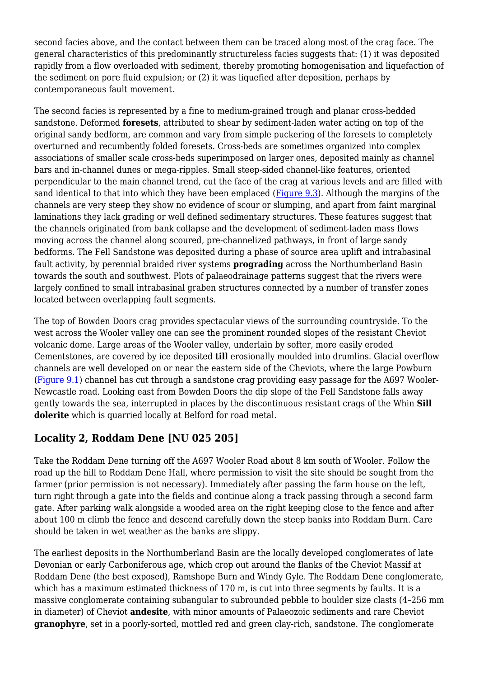second facies above, and the contact between them can be traced along most of the crag face. The general characteristics of this predominantly structureless facies suggests that: (1) it was deposited rapidly from a flow overloaded with sediment, thereby promoting homogenisation and liquefaction of the sediment on pore fluid expulsion; or (2) it was liquefied after deposition, perhaps by contemporaneous fault movement.

The second facies is represented by a fine to medium-grained trough and planar cross-bedded sandstone. Deformed **foresets**, attributed to shear by sediment-laden water acting on top of the original sandy bedform, are common and vary from simple puckering of the foresets to completely overturned and recumbently folded foresets. Cross-beds are sometimes organized into complex associations of smaller scale cross-beds superimposed on larger ones, deposited mainly as channel bars and in-channel dunes or mega-ripples. Small steep-sided channel-like features, oriented perpendicular to the main channel trend, cut the face of the crag at various levels and are filled with sand identical to that into which they have been emplaced ([Figure 9.3](http://earthwise.bgs.ac.uk/index.php/File:YGS_NORTROCK_FIG_09_3.jpg)). Although the margins of the channels are very steep they show no evidence of scour or slumping, and apart from faint marginal laminations they lack grading or well defined sedimentary structures. These features suggest that the channels originated from bank collapse and the development of sediment-laden mass flows moving across the channel along scoured, pre-channelized pathways, in front of large sandy bedforms. The Fell Sandstone was deposited during a phase of source area uplift and intrabasinal fault activity, by perennial braided river systems **prograding** across the Northumberland Basin towards the south and southwest. Plots of palaeodrainage patterns suggest that the rivers were largely confined to small intrabasinal graben structures connected by a number of transfer zones located between overlapping fault segments.

The top of Bowden Doors crag provides spectacular views of the surrounding countryside. To the west across the Wooler valley one can see the prominent rounded slopes of the resistant Cheviot volcanic dome. Large areas of the Wooler valley, underlain by softer, more easily eroded Cementstones, are covered by ice deposited **till** erosionally moulded into drumlins. Glacial overflow channels are well developed on or near the eastern side of the Cheviots, where the large Powburn [\(Figure 9.1\)](http://earthwise.bgs.ac.uk/index.php/File:YGS_NORTROCK_FIG_09_1.jpg) channel has cut through a sandstone crag providing easy passage for the A697 Wooler-Newcastle road. Looking east from Bowden Doors the dip slope of the Fell Sandstone falls away gently towards the sea, interrupted in places by the discontinuous resistant crags of the Whin **Sill dolerite** which is quarried locally at Belford for road metal.

### **Locality 2, Roddam Dene [NU 025 205]**

Take the Roddam Dene turning off the A697 Wooler Road about 8 km south of Wooler. Follow the road up the hill to Roddam Dene Hall, where permission to visit the site should be sought from the farmer (prior permission is not necessary). Immediately after passing the farm house on the left, turn right through a gate into the fields and continue along a track passing through a second farm gate. After parking walk alongside a wooded area on the right keeping close to the fence and after about 100 m climb the fence and descend carefully down the steep banks into Roddam Burn. Care should be taken in wet weather as the banks are slippy.

The earliest deposits in the Northumberland Basin are the locally developed conglomerates of late Devonian or early Carboniferous age, which crop out around the flanks of the Cheviot Massif at Roddam Dene (the best exposed), Ramshope Burn and Windy Gyle. The Roddam Dene conglomerate, which has a maximum estimated thickness of 170 m, is cut into three segments by faults. It is a massive conglomerate containing subangular to subrounded pebble to boulder size clasts (4–256 mm in diameter) of Cheviot **andesite**, with minor amounts of Palaeozoic sediments and rare Cheviot **granophyre**, set in a poorly-sorted, mottled red and green clay-rich, sandstone. The conglomerate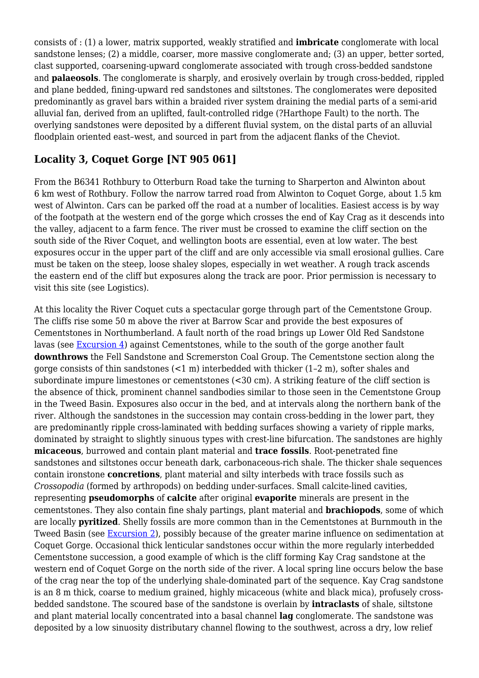consists of : (1) a lower, matrix supported, weakly stratified and **imbricate** conglomerate with local sandstone lenses; (2) a middle, coarser, more massive conglomerate and; (3) an upper, better sorted, clast supported, coarsening-upward conglomerate associated with trough cross-bedded sandstone and **palaeosols**. The conglomerate is sharply, and erosively overlain by trough cross-bedded, rippled and plane bedded, fining-upward red sandstones and siltstones. The conglomerates were deposited predominantly as gravel bars within a braided river system draining the medial parts of a semi-arid alluvial fan, derived from an uplifted, fault-controlled ridge (?Harthope Fault) to the north. The overlying sandstones were deposited by a different fluvial system, on the distal parts of an alluvial floodplain oriented east–west, and sourced in part from the adjacent flanks of the Cheviot.

### **Locality 3, Coquet Gorge [NT 905 061]**

From the B6341 Rothbury to Otterburn Road take the turning to Sharperton and Alwinton about 6 km west of Rothbury. Follow the narrow tarred road from Alwinton to Coquet Gorge, about 1.5 km west of Alwinton. Cars can be parked off the road at a number of localities. Easiest access is by way of the footpath at the western end of the gorge which crosses the end of Kay Crag as it descends into the valley, adjacent to a farm fence. The river must be crossed to examine the cliff section on the south side of the River Coquet, and wellington boots are essential, even at low water. The best exposures occur in the upper part of the cliff and are only accessible via small erosional gullies. Care must be taken on the steep, loose shaley slopes, especially in wet weather. A rough track ascends the eastern end of the cliff but exposures along the track are poor. Prior permission is necessary to visit this site (see Logistics).

At this locality the River Coquet cuts a spectacular gorge through part of the Cementstone Group. The cliffs rise some 50 m above the river at Barrow Scar and provide the best exposures of Cementstones in Northumberland. A fault north of the road brings up Lower Old Red Sandstone lavas (see [Excursion 4\)](http://earthwise.bgs.ac.uk/index.php/Cheviot_%E2%80%94_early_Devonian_volcanic_rocks,_granite_and_basement_-_an_excursion) against Cementstones, while to the south of the gorge another fault **downthrows** the Fell Sandstone and Scremerston Coal Group. The Cementstone section along the gorge consists of thin sandstones (<1 m) interbedded with thicker (1–2 m), softer shales and subordinate impure limestones or cementstones  $\leq 30 \text{ cm}$ ). A striking feature of the cliff section is the absence of thick, prominent channel sandbodies similar to those seen in the Cementstone Group in the Tweed Basin. Exposures also occur in the bed, and at intervals along the northern bank of the river. Although the sandstones in the succession may contain cross-bedding in the lower part, they are predominantly ripple cross-laminated with bedding surfaces showing a variety of ripple marks, dominated by straight to slightly sinuous types with crest-line bifurcation. The sandstones are highly **micaceous**, burrowed and contain plant material and **trace fossils**. Root-penetrated fine sandstones and siltstones occur beneath dark, carbonaceous-rich shale. The thicker shale sequences contain ironstone **concretions**, plant material and silty interbeds with trace fossils such as *Crossopodia* (formed by arthropods) on bedding under-surfaces. Small calcite-lined cavities, representing **pseudomorphs** of **calcite** after original **evaporite** minerals are present in the cementstones. They also contain fine shaly partings, plant material and **brachiopods**, some of which are locally **pyritized**. Shelly fossils are more common than in the Cementstones at Burnmouth in the Tweed Basin (see [Excursion 2\)](http://earthwise.bgs.ac.uk/index.php/Geology_of_Eyemouth_and_Burnmouth_-_an_excursion), possibly because of the greater marine influence on sedimentation at Coquet Gorge. Occasional thick lenticular sandstones occur within the more regularly interbedded Cementstone succession, a good example of which is the cliff forming Kay Crag sandstone at the western end of Coquet Gorge on the north side of the river. A local spring line occurs below the base of the crag near the top of the underlying shale-dominated part of the sequence. Kay Crag sandstone is an 8 m thick, coarse to medium grained, highly micaceous (white and black mica), profusely crossbedded sandstone. The scoured base of the sandstone is overlain by **intraclasts** of shale, siltstone and plant material locally concentrated into a basal channel **lag** conglomerate. The sandstone was deposited by a low sinuosity distributary channel flowing to the southwest, across a dry, low relief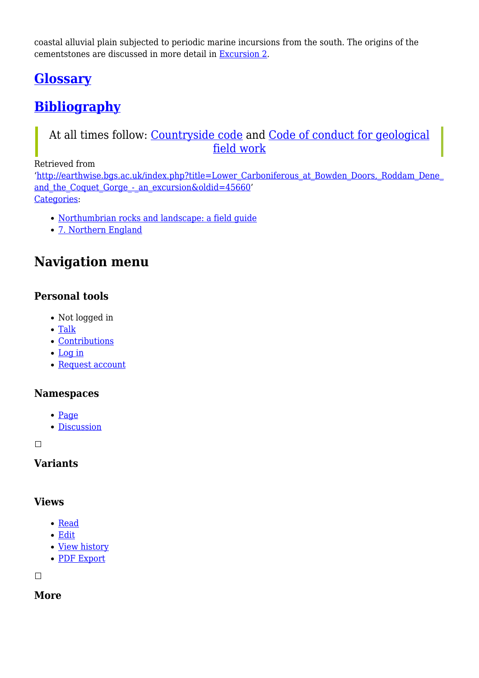coastal alluvial plain subjected to periodic marine incursions from the south. The origins of the cementstones are discussed in more detail in [Excursion 2](http://earthwise.bgs.ac.uk/index.php/Geology_of_Eyemouth_and_Burnmouth_-_an_excursion).

### **[Glossary](http://earthwise.bgs.ac.uk/index.php/Northumbrian_rocks_and_landscape:_a_field_guide#Glossary)**

# **[Bibliography](http://earthwise.bgs.ac.uk/index.php/Northumbrian_rocks_and_landscape:_a_field_guide#Bibliography)**

### At all times follow: [Countryside code](https://www.gov.uk/government/publications/the-countryside-code) and [Code of conduct for geological](https://www.scottishgeology.com/where-to-go/geological-fieldwork-code/) [field work](https://www.scottishgeology.com/where-to-go/geological-fieldwork-code/)

Retrieved from

'[http://earthwise.bgs.ac.uk/index.php?title=Lower\\_Carboniferous\\_at\\_Bowden\\_Doors,\\_Roddam\\_Dene\\_](http://earthwise.bgs.ac.uk/index.php?title=Lower_Carboniferous_at_Bowden_Doors,_Roddam_Dene_and_the_Coquet_Gorge_-_an_excursion&oldid=45660) and the Coquet Gorge - an excursion&oldid=45660' [Categories:](http://earthwise.bgs.ac.uk/index.php/Special:Categories)

- [Northumbrian rocks and landscape: a field guide](http://earthwise.bgs.ac.uk/index.php/Category:Northumbrian_rocks_and_landscape:_a_field_guide)
- [7. Northern England](http://earthwise.bgs.ac.uk/index.php/Category:7._Northern_England)

### **Navigation menu**

### **Personal tools**

- Not logged in
- [Talk](http://earthwise.bgs.ac.uk/index.php/Special:MyTalk)
- [Contributions](http://earthwise.bgs.ac.uk/index.php/Special:MyContributions)
- [Log in](http://earthwise.bgs.ac.uk/index.php?title=Special:UserLogin&returnto=Lower+Carboniferous+at+Bowden+Doors%2C+Roddam+Dene+and+the+Coquet+Gorge+-+an+excursion&returntoquery=action%3Dmpdf)
- [Request account](http://earthwise.bgs.ac.uk/index.php/Special:RequestAccount)

#### **Namespaces**

- [Page](http://earthwise.bgs.ac.uk/index.php/Lower_Carboniferous_at_Bowden_Doors,_Roddam_Dene_and_the_Coquet_Gorge_-_an_excursion)
- [Discussion](http://earthwise.bgs.ac.uk/index.php?title=Talk:Lower_Carboniferous_at_Bowden_Doors,_Roddam_Dene_and_the_Coquet_Gorge_-_an_excursion&action=edit&redlink=1)

 $\Box$ 

#### **Variants**

#### **Views**

- [Read](http://earthwise.bgs.ac.uk/index.php/Lower_Carboniferous_at_Bowden_Doors,_Roddam_Dene_and_the_Coquet_Gorge_-_an_excursion)
- [Edit](http://earthwise.bgs.ac.uk/index.php?title=Lower_Carboniferous_at_Bowden_Doors,_Roddam_Dene_and_the_Coquet_Gorge_-_an_excursion&action=edit)
- [View history](http://earthwise.bgs.ac.uk/index.php?title=Lower_Carboniferous_at_Bowden_Doors,_Roddam_Dene_and_the_Coquet_Gorge_-_an_excursion&action=history)
- [PDF Export](http://earthwise.bgs.ac.uk/index.php?title=Lower_Carboniferous_at_Bowden_Doors,_Roddam_Dene_and_the_Coquet_Gorge_-_an_excursion&action=mpdf)

 $\overline{\phantom{a}}$ 

**More**